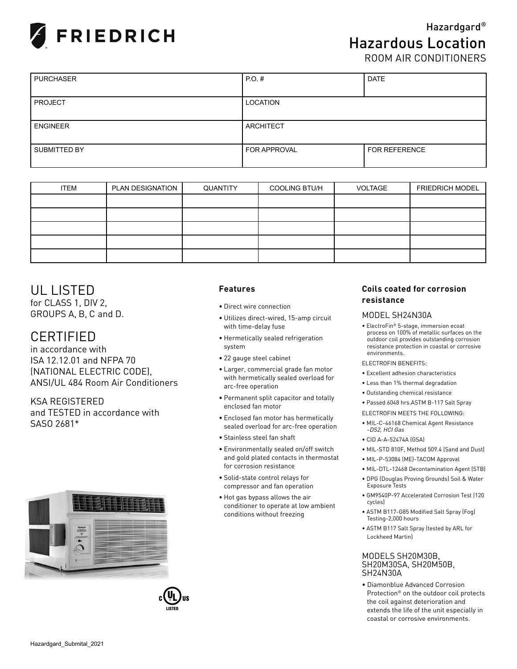

ROOM AIR CONDITIONERS

| <b>PURCHASER</b> | $PO.$ #<br><b>DATE</b> |                      |  |  |  |  |
|------------------|------------------------|----------------------|--|--|--|--|
|                  |                        |                      |  |  |  |  |
| <b>PROJECT</b>   | <b>LOCATION</b>        |                      |  |  |  |  |
|                  |                        |                      |  |  |  |  |
| <b>ENGINEER</b>  | <b>ARCHITECT</b>       |                      |  |  |  |  |
|                  |                        |                      |  |  |  |  |
| SUBMITTED BY     | FOR APPROVAL           | <b>FOR REFERENCE</b> |  |  |  |  |
|                  |                        |                      |  |  |  |  |

| <b>ITEM</b> | PLAN DESIGNATION | QUANTITY | <b>COOLING BTU/H</b> | VOLTAGE | <b>FRIEDRICH MODEL</b> |
|-------------|------------------|----------|----------------------|---------|------------------------|
|             |                  |          |                      |         |                        |
|             |                  |          |                      |         |                        |
|             |                  |          |                      |         |                        |
|             |                  |          |                      |         |                        |
|             |                  |          |                      |         |                        |

## UL LISTED

for CLASS 1, DIV 2, GROUPS A, B, C and D.

## CERTIFIED

in accordance with ISA 12.12.01 and NFPA 70 (NATIONAL ELECTRIC CODE), ANSI/UL 484 Room Air Conditioners

KSA REGISTERED and TESTED in accordance with SASO 2681\*





### **Features**

- Direct wire connection
- Utilizes direct-wired, 15-amp circuit with time-delay fuse
- Hermetically sealed refrigeration system
- 22 gauge steel cabinet
- Larger, commercial grade fan motor with hermetically sealed overload for arc-free operation
- Permanent split capacitor and totally enclosed fan motor
- Enclosed fan motor has hermetically sealed overload for arc-free operation
- Stainless steel fan shaft
- Environmentally sealed on/off switch and gold plated contacts in thermostat for corrosion resistance
- Solid-state control relays for compressor and fan operation
- Hot gas bypass allows the air conditioner to operate at low ambient conditions without freezing

### **Coils coated for corrosion resistance**

#### MODEL SH24N30A

- ElectroFin® 5-stage, immersion ecoat process on 100% of metallic surfaces on the outdoor coil provides outstanding corrosion resistance protection in coastal or corrosive environments.
- ELECTROFIN BENEFITS:
- Excellent adhesion characteristics
- Less than 1% thermal degradation
- Outstanding chemical resistance
- Passed 6048 hrs.ASTM B-117 Salt Spray
- ELECTROFIN MEETS THE FOLLOWING:
- MIL-C-46168 Chemical Agent Resistance -DS2, HCI Gas
- CID A-A-52474A (GSA)
- MIL-STD 810F, Method 509.4 (Sand and Dust)
- MIL-P-53084 (ME)-TACOM Approval
- MIL-DTL-12468 Decontamination Agent (STB) • DPG (Douglas Proving Grounds) Soil & Water Exposure Tests
- GM9540P-97 Accelerated Corrosion Test (120 cycles)
- ASTM B117-G85 Modified Salt Spray (Fog) Testing-2,000 hours
- ASTM B117 Salt Spray (tested by ARL for Lockheed Martin)

#### MODELS SH20M30B, SH20M30SA, SH20M50B, SH24N30A

• Diamonblue Advanced Corrosion Protection® on the outdoor coil protects the coil against deterioration and extends the life of the unit especially in coastal or corrosive environments.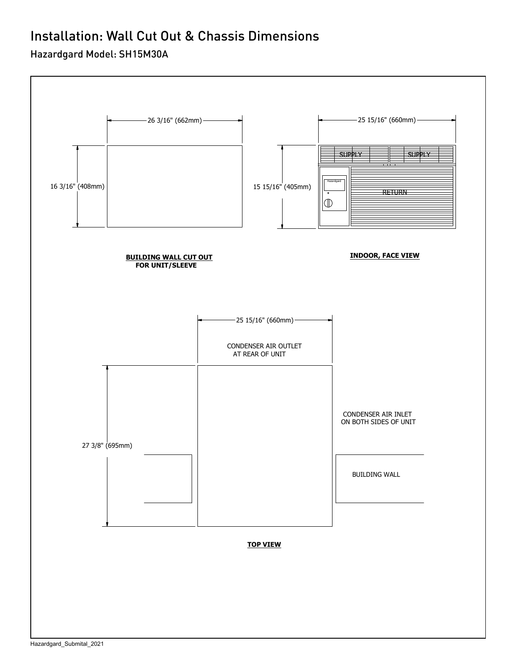# Installation: Wall Cut Out & Chassis Dimensions

### Hazardgard Model: SH15M30A

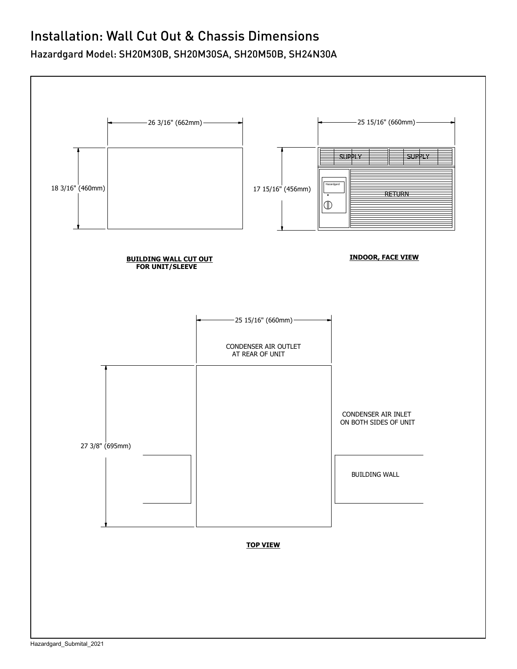## Installation: Wall Cut Out & Chassis Dimensions

Hazardgard Model: SH20M30B, SH20M30SA, SH20M50B, SH24N30A